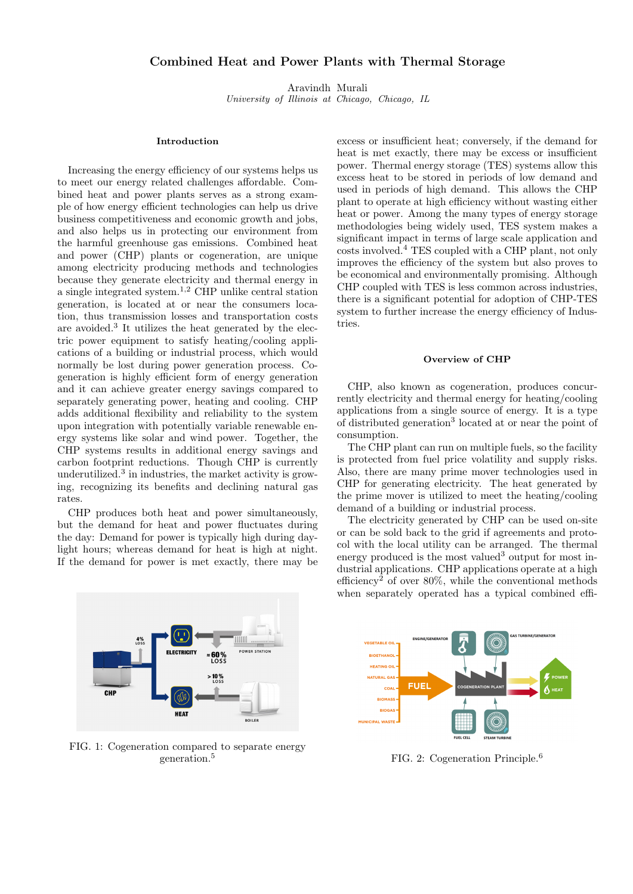# Combined Heat and Power Plants with Thermal Storage

Aravindh Murali University of Illinois at Chicago, Chicago, IL

# Introduction

Increasing the energy efficiency of our systems helps us to meet our energy related challenges affordable. Combined heat and power plants serves as a strong example of how energy efficient technologies can help us drive business competitiveness and economic growth and jobs, and also helps us in protecting our environment from the harmful greenhouse gas emissions. Combined heat and power (CHP) plants or cogeneration, are unique among electricity producing methods and technologies because they generate electricity and thermal energy in a single integrated system.<sup>1,2</sup> CHP unlike central station generation, is located at or near the consumers location, thus transmission losses and transportation costs are avoided.<sup>3</sup> It utilizes the heat generated by the electric power equipment to satisfy heating/cooling applications of a building or industrial process, which would normally be lost during power generation process. Cogeneration is highly efficient form of energy generation and it can achieve greater energy savings compared to separately generating power, heating and cooling. CHP adds additional flexibility and reliability to the system upon integration with potentially variable renewable energy systems like solar and wind power. Together, the CHP systems results in additional energy savings and carbon footprint reductions. Though CHP is currently underutilized. $3$  in industries, the market activity is growing, recognizing its benefits and declining natural gas rates.

CHP produces both heat and power simultaneously, but the demand for heat and power fluctuates during the day: Demand for power is typically high during daylight hours; whereas demand for heat is high at night. If the demand for power is met exactly, there may be



FIG. 1: Cogeneration compared to separate energy generation.<sup>5</sup>

excess or insufficient heat; conversely, if the demand for heat is met exactly, there may be excess or insufficient power. Thermal energy storage (TES) systems allow this excess heat to be stored in periods of low demand and used in periods of high demand. This allows the CHP plant to operate at high efficiency without wasting either heat or power. Among the many types of energy storage methodologies being widely used, TES system makes a significant impact in terms of large scale application and costs involved.<sup>4</sup> TES coupled with a CHP plant, not only improves the efficiency of the system but also proves to be economical and environmentally promising. Although CHP coupled with TES is less common across industries, there is a significant potential for adoption of CHP-TES system to further increase the energy efficiency of Industries.

### Overview of CHP

CHP, also known as cogeneration, produces concurrently electricity and thermal energy for heating/cooling applications from a single source of energy. It is a type of distributed generation<sup>3</sup> located at or near the point of consumption.

The CHP plant can run on multiple fuels, so the facility is protected from fuel price volatility and supply risks. Also, there are many prime mover technologies used in CHP for generating electricity. The heat generated by the prime mover is utilized to meet the heating/cooling demand of a building or industrial process.

The electricity generated by CHP can be used on-site or can be sold back to the grid if agreements and protocol with the local utility can be arranged. The thermal energy produced is the most valued<sup>3</sup> output for most industrial applications. CHP applications operate at a high efficiency<sup>2</sup> of over  $80\%$ , while the conventional methods when separately operated has a typical combined effi-



FIG. 2: Cogeneration Principle.<sup>6</sup>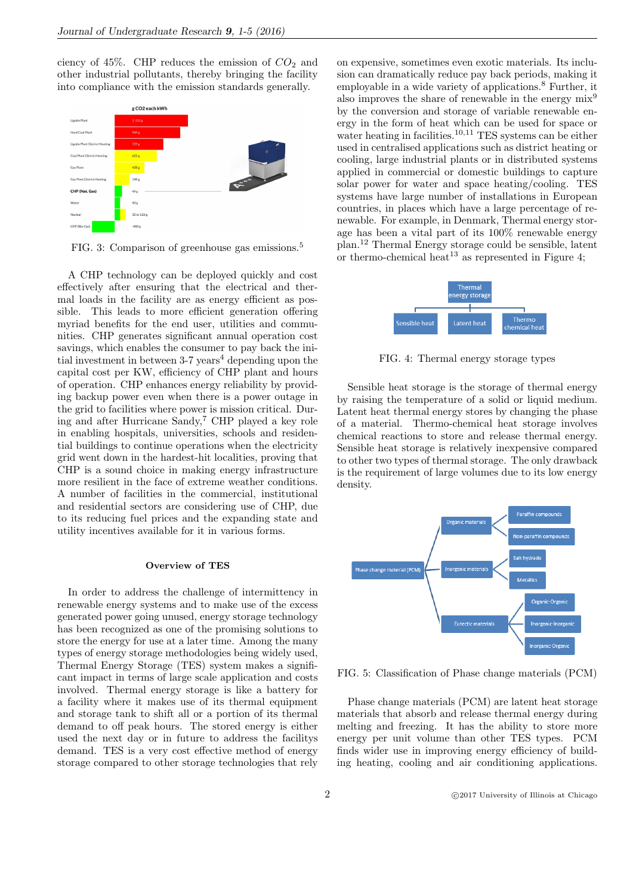ciency of 45%. CHP reduces the emission of  $CO<sub>2</sub>$  and other industrial pollutants, thereby bringing the facility into compliance with the emission standards generally.



FIG. 3: Comparison of greenhouse gas emissions.<sup>5</sup>

A CHP technology can be deployed quickly and cost effectively after ensuring that the electrical and thermal loads in the facility are as energy efficient as possible. This leads to more efficient generation offering myriad benefits for the end user, utilities and communities. CHP generates significant annual operation cost savings, which enables the consumer to pay back the initial investment in between  $3-7$  years<sup>4</sup> depending upon the capital cost per KW, efficiency of CHP plant and hours of operation. CHP enhances energy reliability by providing backup power even when there is a power outage in the grid to facilities where power is mission critical. During and after Hurricane Sandy,<sup>7</sup> CHP played a key role in enabling hospitals, universities, schools and residential buildings to continue operations when the electricity grid went down in the hardest-hit localities, proving that CHP is a sound choice in making energy infrastructure more resilient in the face of extreme weather conditions. A number of facilities in the commercial, institutional and residential sectors are considering use of CHP, due to its reducing fuel prices and the expanding state and utility incentives available for it in various forms.

#### Overview of TES

In order to address the challenge of intermittency in renewable energy systems and to make use of the excess generated power going unused, energy storage technology has been recognized as one of the promising solutions to store the energy for use at a later time. Among the many types of energy storage methodologies being widely used, Thermal Energy Storage (TES) system makes a significant impact in terms of large scale application and costs involved. Thermal energy storage is like a battery for a facility where it makes use of its thermal equipment and storage tank to shift all or a portion of its thermal demand to off peak hours. The stored energy is either used the next day or in future to address the facilitys demand. TES is a very cost effective method of energy storage compared to other storage technologies that rely

on expensive, sometimes even exotic materials. Its inclusion can dramatically reduce pay back periods, making it employable in a wide variety of applications.<sup>8</sup> Further, it also improves the share of renewable in the energy mix<sup>9</sup> by the conversion and storage of variable renewable energy in the form of heat which can be used for space or water heating in facilities.<sup>10,11</sup> TES systems can be either used in centralised applications such as district heating or cooling, large industrial plants or in distributed systems applied in commercial or domestic buildings to capture solar power for water and space heating/cooling. TES systems have large number of installations in European countries, in places which have a large percentage of renewable. For example, in Denmark, Thermal energy storage has been a vital part of its 100% renewable energy plan.<sup>12</sup> Thermal Energy storage could be sensible, latent or thermo-chemical heat<sup>13</sup> as represented in Figure 4:



FIG. 4: Thermal energy storage types

Sensible heat storage is the storage of thermal energy by raising the temperature of a solid or liquid medium. Latent heat thermal energy stores by changing the phase of a material. Thermo-chemical heat storage involves chemical reactions to store and release thermal energy. Sensible heat storage is relatively inexpensive compared to other two types of thermal storage. The only drawback is the requirement of large volumes due to its low energy density.



FIG. 5: Classification of Phase change materials (PCM)

Phase change materials (PCM) are latent heat storage materials that absorb and release thermal energy during melting and freezing. It has the ability to store more energy per unit volume than other TES types. PCM finds wider use in improving energy efficiency of building heating, cooling and air conditioning applications.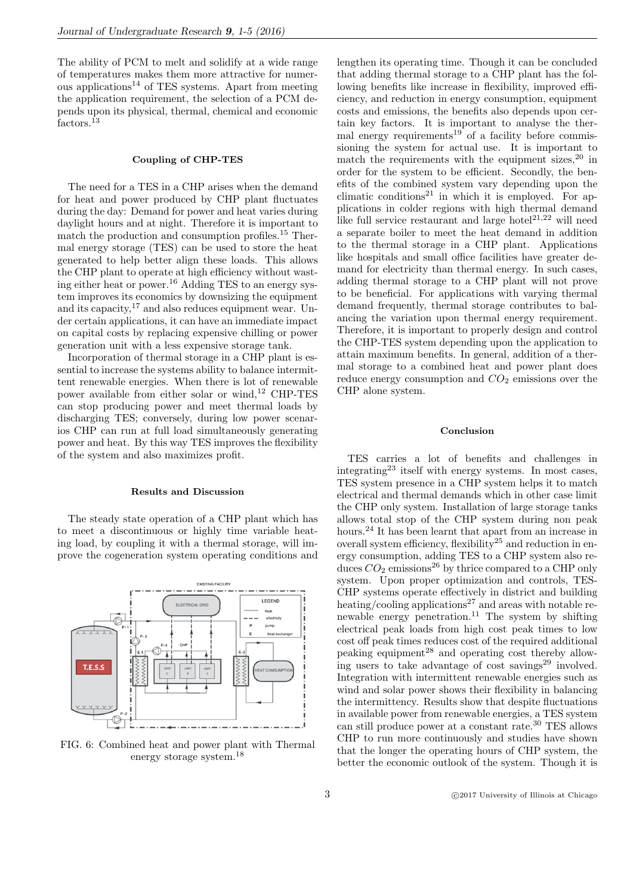The ability of PCM to melt and solidify at a wide range of temperatures makes them more attractive for numerous applications<sup>14</sup> of TES systems. Apart from meeting the application requirement, the selection of a PCM depends upon its physical, thermal, chemical and economic factors.<sup>13</sup>

# Coupling of CHP-TES

The need for a TES in a CHP arises when the demand for heat and power produced by CHP plant fluctuates during the day: Demand for power and heat varies during daylight hours and at night. Therefore it is important to match the production and consumption profiles.<sup>15</sup> Thermal energy storage (TES) can be used to store the heat generated to help better align these loads. This allows the CHP plant to operate at high efficiency without wasting either heat or power.<sup>16</sup> Adding TES to an energy system improves its economics by downsizing the equipment and its capacity,  $17$  and also reduces equipment wear. Under certain applications, it can have an immediate impact on capital costs by replacing expensive chilling or power generation unit with a less expensive storage tank.

Incorporation of thermal storage in a CHP plant is essential to increase the systems ability to balance intermittent renewable energies. When there is lot of renewable power available from either solar or wind,<sup>12</sup> CHP-TES can stop producing power and meet thermal loads by discharging TES; conversely, during low power scenarios CHP can run at full load simultaneously generating power and heat. By this way TES improves the flexibility of the system and also maximizes profit.

# Results and Discussion

The steady state operation of a CHP plant which has to meet a discontinuous or highly time variable heating load, by coupling it with a thermal storage, will improve the cogeneration system operating conditions and



FIG. 6: Combined heat and power plant with Thermal energy storage system.<sup>18</sup>

lengthen its operating time. Though it can be concluded that adding thermal storage to a CHP plant has the following benefits like increase in flexibility, improved efficiency, and reduction in energy consumption, equipment costs and emissions, the benefits also depends upon certain key factors. It is important to analyse the thermal energy requirements<sup>19</sup> of a facility before commissioning the system for actual use. It is important to match the requirements with the equipment sizes,  $20$  in order for the system to be efficient. Secondly, the benefits of the combined system vary depending upon the climatic conditions<sup>21</sup> in which it is employed. For applications in colder regions with high thermal demand like full service restaurant and large hotel<sup>21,22</sup> will need a separate boiler to meet the heat demand in addition to the thermal storage in a CHP plant. Applications like hospitals and small office facilities have greater demand for electricity than thermal energy. In such cases, adding thermal storage to a CHP plant will not prove to be beneficial. For applications with varying thermal demand frequently, thermal storage contributes to balancing the variation upon thermal energy requirement. Therefore, it is important to properly design and control the CHP-TES system depending upon the application to attain maximum benefits. In general, addition of a thermal storage to a combined heat and power plant does reduce energy consumption and  $CO<sub>2</sub>$  emissions over the CHP alone system.

#### Conclusion

TES carries a lot of benefits and challenges in integrating<sup>23</sup> itself with energy systems. In most cases, TES system presence in a CHP system helps it to match electrical and thermal demands which in other case limit the CHP only system. Installation of large storage tanks allows total stop of the CHP system during non peak hours.<sup>24</sup> It has been learnt that apart from an increase in overall system efficiency, flexibility<sup>25</sup> and reduction in energy consumption, adding TES to a CHP system also reduces  $CO_2$  emissions<sup>26</sup> by thrice compared to a CHP only system. Upon proper optimization and controls, TES-CHP systems operate effectively in district and building heating/cooling applications<sup>27</sup> and areas with notable renewable energy penetration.<sup>11</sup> The system by shifting electrical peak loads from high cost peak times to low cost off peak times reduces cost of the required additional peaking equipment<sup>28</sup> and operating cost thereby allowing users to take advantage of cost savings $29$  involved. Integration with intermittent renewable energies such as wind and solar power shows their flexibility in balancing the intermittency. Results show that despite fluctuations in available power from renewable energies, a TES system can still produce power at a constant rate.<sup>30</sup> TES allows CHP to run more continuously and studies have shown that the longer the operating hours of CHP system, the better the economic outlook of the system. Though it is